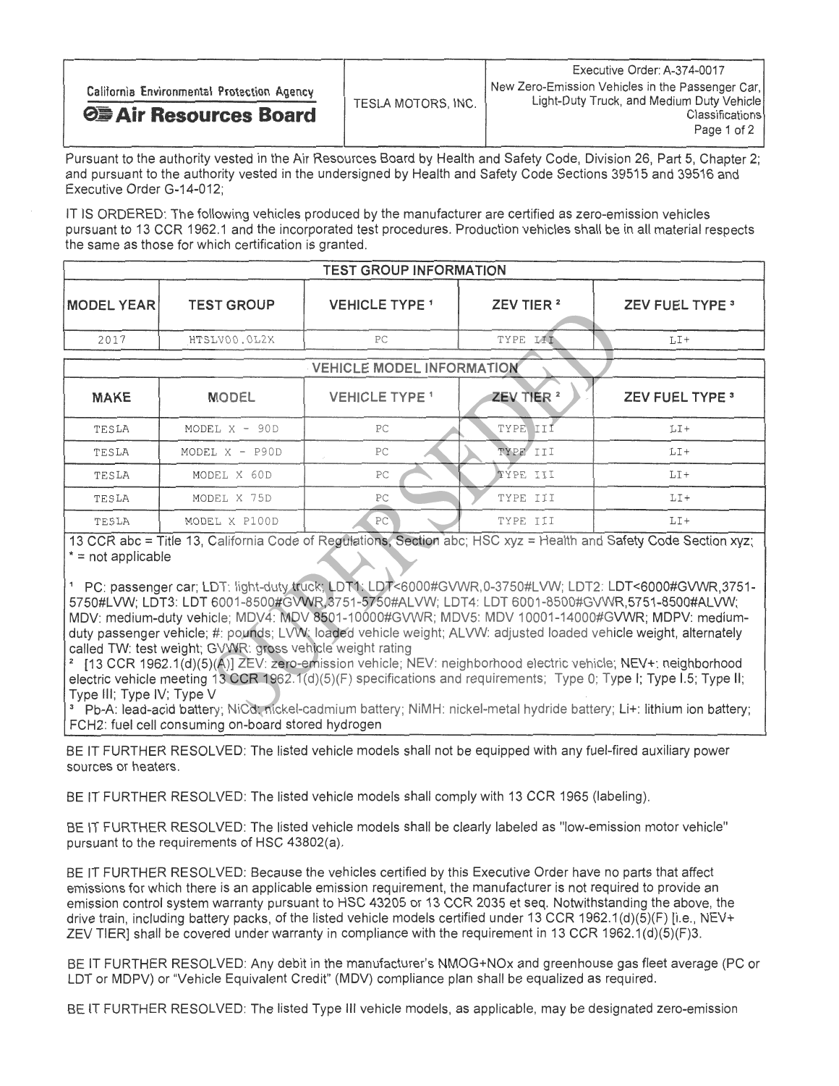Pursuant to the authority vested in the Air Resources Board by Health and Safety Code, Division 26, Part 5, Chapter 2; and pursuant to the authority vested in the undersigned by Health and Safety Code Sections 39515 and 39516 and Executive Order G-14-012;

IT IS ORDERED: The following vehicles produced by the manufacturer are certified as zero-emission vehicles pursuant to 13 CCR 1962.1 and the incorporated test procedures. Production vehicles shall be in all material respects the same as those for which certification is granted.

| <b>TEST GROUP INFORMATION</b> |                   |                       |                       |                        |  |
|-------------------------------|-------------------|-----------------------|-----------------------|------------------------|--|
| <b>MODEL YEAR</b>             | <b>TEST GROUP</b> | <b>VEHICLE TYPE 1</b> | ZEV TIER <sup>2</sup> | <b>ZEV FUEL TYPE 3</b> |  |
| 2017                          | HTSLV00.0L2X      | PC                    | TYPE III              | $LT+$                  |  |
| VEHICLE MODEL INFORMATION     |                   |                       |                       |                        |  |
|                               |                   |                       |                       |                        |  |
| <b>MAKE</b>                   | <b>MODEL</b>      | <b>VEHICLE TYPE 1</b> | ZEV TIER <sup>2</sup> | <b>ZEV FUEL TYPE 3</b> |  |
| TESLA                         | MODEL $X - 90D$   | PC                    | TYPE III              | $LI+$                  |  |
| TESLA                         | MODEL $X$ - P90D  | PC                    | TYPE III              | $LT+$                  |  |
| TESLA                         | MODEL X 60D       | PC                    | TYPE III              | $LT +$                 |  |
| TESLA                         | MODEL X 75D       | PC                    | TYPE III              | LI+                    |  |
| TESLA                         | MODEL X P100D     | PC <sup>-</sup>       | TYPE III              | $LT+$                  |  |

13 CCR abc = Title 13, California Code of Regulations. Section abc; HSC xyz = Health and Safety Code Section xyz; \* = not applicable

"PC: passenger car; LDT: light-duty truck; LDT1: LDT<6000#GVWR,0-3750#LVW; LDT2: LDT<6000#GVWR,3751- 5750#LVW; LDT3: LDT 6001-8500#GVWR 3751-5750#ALVW; LDT4: LDT 6001-8500#GVWR,5751-8500#ALVW; MDV: medium-duty vehicle; MDV4: MDV 8501-10000#GVWR; MDV5: MDV 10001-14000#GVWR; MDPV: mediumduty passenger vehicle; #: pounds; LVW: loaded vehicle weight; ALVW: adjusted loaded vehicle weight, alternately called TW: test weight; GVWR: gross vehicle weight rating

[13 CCR 1962.1(d)(5)(A)] ZEV: zero-emission vehicle; NEV: neighborhood electric vehicle; NEV+: neighborhood electric vehicle meeting 13 CCR 1962.1(d)(5)(F) specifications and requirements; Type 0; Type I; Type I.5; Type II; Type Ill; Type IV; Type V

<sup>3</sup> Pb-A: lead-acid battery; NiCd: nickel-cadmium battery; NiMH: nickel-metal hydride battery; Li+: lithium ion battery; FCH2: fuel cell consuming on-board stored hydrogen

BE IT FURTHER RESOLVED: The listed vehicle models shall not be equipped with any fuel-fired auxiliary power sources or heaters.

BE IT FURTHER RESOLVED: The listed vehicle models shall comply with 13 CCR 1965 (labeling).

BE IT FURTHER RESOLVED: The listed vehicle models shall be clearly labeled as "low-emission motor vehicle" pursuant to the requirements of HSC 43802(a).

BE IT FURTHER RESOLVED: Because the vehicles certified by this Executive Order have no parts that affect emissions for which there is an applicable emission requirement, the manufacturer is not required to provide an emission control system warranty pursuant to HSC 43205 or 13 CCR 2035 et seq. Notwithstanding the above, the drive train, including battery packs, of the listed vehicle models certified under 13 CCR 1962.1(d)(5)(F) [i.e., NEV+ ZEV TIER] shall be covered under warranty in compliance with the requirement in 13 CCR 1962.1(d)(5)(F)3.

BE IT FURTHER RESOLVED: Any debit in the manufacturer's NMOG+NOx and greenhouse gas fleet average (PC or LDT or MDPV) or "Vehicle Equivalent Credit" (MDV) compliance plan shall be equalized as required.

BE IT FURTHER RESOLVED: The listed Type Ill vehicle models, as applicable, may be designated zero-emission